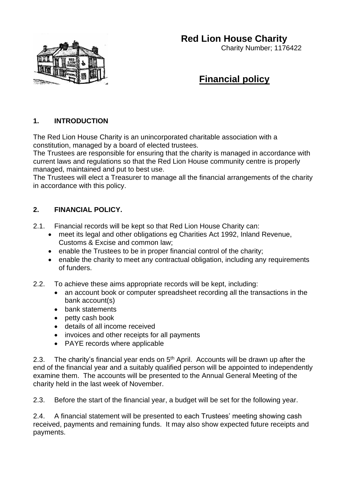## **Red Lion House Charity**



## Charity Number; 1176422

# **Financial policy**

## **1. INTRODUCTION**

The Red Lion House Charity is an unincorporated charitable association with a constitution, managed by a board of elected trustees.

The Trustees are responsible for ensuring that the charity is managed in accordance with current laws and regulations so that the Red Lion House community centre is properly managed, maintained and put to best use.

The Trustees will elect a Treasurer to manage all the financial arrangements of the charity in accordance with this policy.

## **2. FINANCIAL POLICY.**

- 2.1. Financial records will be kept so that Red Lion House Charity can:
	- meet its legal and other obligations eg Charities Act 1992, Inland Revenue, Customs & Excise and common law;
	- enable the Trustees to be in proper financial control of the charity;
	- enable the charity to meet any contractual obligation, including any requirements of funders.
- 2.2. To achieve these aims appropriate records will be kept, including:
	- an account book or computer spreadsheet recording all the transactions in the bank account(s)
	- bank statements
	- petty cash book
	- details of all income received
	- invoices and other receipts for all payments
	- PAYE records where applicable

2.3. The charity's financial year ends on  $5<sup>th</sup>$  April. Accounts will be drawn up after the end of the financial year and a suitably qualified person will be appointed to independently examine them. The accounts will be presented to the Annual General Meeting of the charity held in the last week of November.

2.3. Before the start of the financial year, a budget will be set for the following year.

2.4. A financial statement will be presented to each Trustees' meeting showing cash received, payments and remaining funds. It may also show expected future receipts and payments.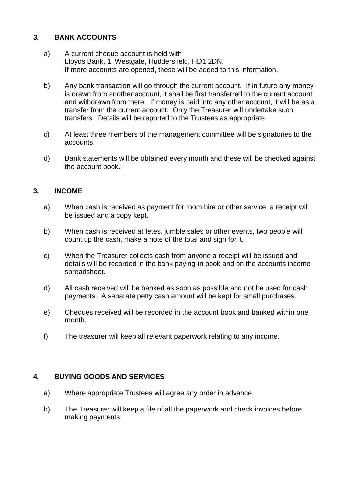### **3. BANK ACCOUNTS**

- a) A current cheque account is held with Lloyds Bank, 1, Westgate, Huddersfield, HD1 2DN. If more accounts are opened, these will be added to this information.
- b) Any bank transaction will go through the current account. If in future any money is drawn from another account, it shall be first transferred to the current account and withdrawn from there. If money is paid into any other account, it will be as a transfer from the current account. Only the Treasurer will undertake such transfers. Details will be reported to the Trustees as appropriate.
- c) At least three members of the management committee will be signatories to the accounts.
- d) Bank statements will be obtained every month and these will be checked against the account book.

#### **3. INCOME**

- a) When cash is received as payment for room hire or other service, a receipt will be issued and a copy kept.
- b) When cash is received at fetes, jumble sales or other events, two people will count up the cash, make a note of the total and sign for it.
- c) When the Treasurer collects cash from anyone a receipt will be issued and details will be recorded in the bank paying-in book and on the accounts income spreadsheet.
- d) All cash received will be banked as soon as possible and not be used for cash payments. A separate petty cash amount will be kept for small purchases.
- e) Cheques received will be recorded in the account book and banked within one month.
- f) The treasurer will keep all relevant paperwork relating to any income.

#### **4. BUYING GOODS AND SERVICES**

- a) Where appropriate Trustees will agree any order in advance.
- b) The Treasurer will keep a file of all the paperwork and check invoices before making payments.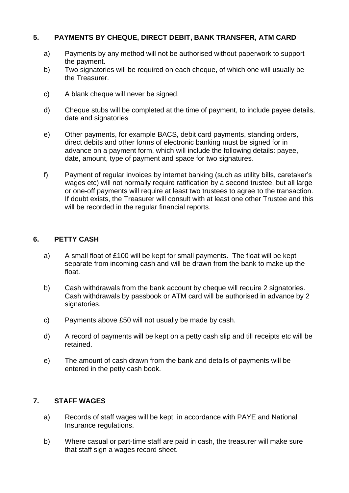## **5. PAYMENTS BY CHEQUE, DIRECT DEBIT, BANK TRANSFER, ATM CARD**

- a) Payments by any method will not be authorised without paperwork to support the payment.
- b) Two signatories will be required on each cheque, of which one will usually be the Treasurer.
- c) A blank cheque will never be signed.
- d) Cheque stubs will be completed at the time of payment, to include payee details, date and signatories
- e) Other payments, for example BACS, debit card payments, standing orders, direct debits and other forms of electronic banking must be signed for in advance on a payment form, which will include the following details: payee, date, amount, type of payment and space for two signatures.
- f) Payment of regular invoices by internet banking (such as utility bills, caretaker's wages etc) will not normally require ratification by a second trustee, but all large or one-off payments will require at least two trustees to agree to the transaction. If doubt exists, the Treasurer will consult with at least one other Trustee and this will be recorded in the regular financial reports.

## **6. PETTY CASH**

- a) A small float of £100 will be kept for small payments. The float will be kept separate from incoming cash and will be drawn from the bank to make up the float.
- b) Cash withdrawals from the bank account by cheque will require 2 signatories. Cash withdrawals by passbook or ATM card will be authorised in advance by 2 signatories.
- c) Payments above £50 will not usually be made by cash.
- d) A record of payments will be kept on a petty cash slip and till receipts etc will be retained.
- e) The amount of cash drawn from the bank and details of payments will be entered in the petty cash book.

## **7. STAFF WAGES**

- a) Records of staff wages will be kept, in accordance with PAYE and National Insurance regulations.
- b) Where casual or part-time staff are paid in cash, the treasurer will make sure that staff sign a wages record sheet.